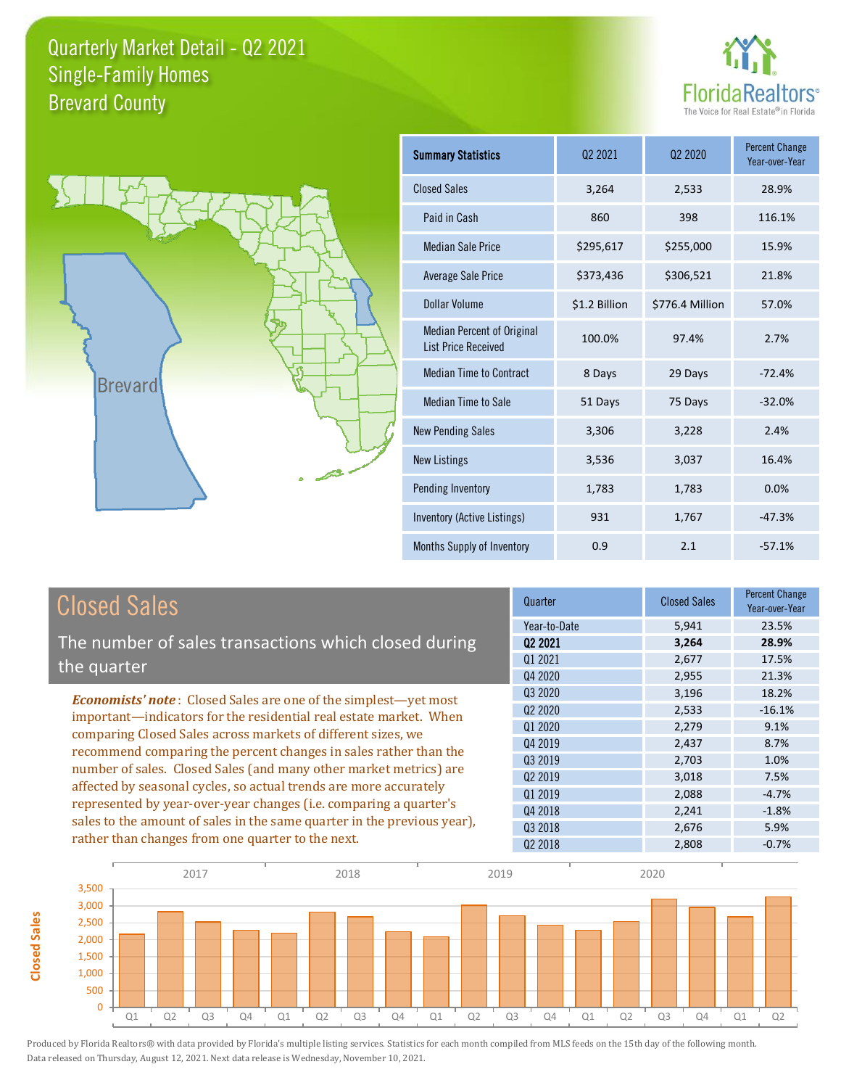



**Closed Sales**

**Closed Sales** 

| <b>Summary Statistics</b>                                       | 02 2021       | 02 2020         | <b>Percent Change</b><br>Year-over-Year |
|-----------------------------------------------------------------|---------------|-----------------|-----------------------------------------|
| <b>Closed Sales</b>                                             | 3,264         | 2,533           | 28.9%                                   |
| Paid in Cash                                                    | 860           | 398             | 116.1%                                  |
| <b>Median Sale Price</b>                                        | \$295,617     | \$255,000       | 15.9%                                   |
| Average Sale Price                                              | \$373,436     | \$306,521       | 21.8%                                   |
| <b>Dollar Volume</b>                                            | \$1.2 Billion | \$776.4 Million | 57.0%                                   |
| <b>Median Percent of Original</b><br><b>List Price Received</b> | 100.0%        | 97.4%           | 2.7%                                    |
| <b>Median Time to Contract</b>                                  | 8 Days        | 29 Days         | $-72.4%$                                |
| <b>Median Time to Sale</b>                                      | 51 Days       | 75 Days         | $-32.0%$                                |
| <b>New Pending Sales</b>                                        | 3,306         | 3,228           | 2.4%                                    |
| <b>New Listings</b>                                             | 3,536         | 3,037           | 16.4%                                   |
| Pending Inventory                                               | 1,783         | 1,783           | 0.0%                                    |
| Inventory (Active Listings)                                     | 931           | 1,767           | $-47.3%$                                |
| Months Supply of Inventory                                      | 0.9           | 2.1             | $-57.1%$                                |

| <b>Closed Sales</b>                                                                                                                                                                                                                                                                                                                                                                                                  | Quarter             | <b>Closed Sales</b> | <b>Percent Change</b><br>Year-over-Year |
|----------------------------------------------------------------------------------------------------------------------------------------------------------------------------------------------------------------------------------------------------------------------------------------------------------------------------------------------------------------------------------------------------------------------|---------------------|---------------------|-----------------------------------------|
|                                                                                                                                                                                                                                                                                                                                                                                                                      | Year-to-Date        | 5,941               | 23.5%                                   |
| The number of sales transactions which closed during                                                                                                                                                                                                                                                                                                                                                                 | 02 2021             | 3,264               | 28.9%                                   |
| the quarter                                                                                                                                                                                                                                                                                                                                                                                                          | 01 2021             | 2,677               | 17.5%                                   |
|                                                                                                                                                                                                                                                                                                                                                                                                                      | Q4 2020             | 2,955               | 21.3%                                   |
| <b>Economists' note:</b> Closed Sales are one of the simplest—yet most                                                                                                                                                                                                                                                                                                                                               | Q3 2020             | 3,196               | 18.2%                                   |
| important—indicators for the residential real estate market. When<br>comparing Closed Sales across markets of different sizes, we<br>recommend comparing the percent changes in sales rather than the<br>number of sales. Closed Sales (and many other market metrics) are<br>affected by seasonal cycles, so actual trends are more accurately<br>represented by year-over-year changes (i.e. comparing a quarter's | Q <sub>2</sub> 2020 | 2,533               | $-16.1%$                                |
|                                                                                                                                                                                                                                                                                                                                                                                                                      | Q1 2020             | 2,279               | 9.1%                                    |
|                                                                                                                                                                                                                                                                                                                                                                                                                      | Q4 2019             | 2,437               | 8.7%                                    |
|                                                                                                                                                                                                                                                                                                                                                                                                                      | Q3 2019             | 2,703               | 1.0%                                    |
|                                                                                                                                                                                                                                                                                                                                                                                                                      | 02 2019             | 3,018               | 7.5%                                    |
|                                                                                                                                                                                                                                                                                                                                                                                                                      | 01 2019             | 2,088               | $-4.7%$                                 |
|                                                                                                                                                                                                                                                                                                                                                                                                                      | Q4 2018             | 2,241               | $-1.8%$                                 |
| sales to the amount of sales in the same quarter in the previous year),                                                                                                                                                                                                                                                                                                                                              | 03 2018             | 2,676               | 5.9%                                    |
| rather than changes from one quarter to the next.                                                                                                                                                                                                                                                                                                                                                                    | 02 2018             | 2,808               | $-0.7%$                                 |

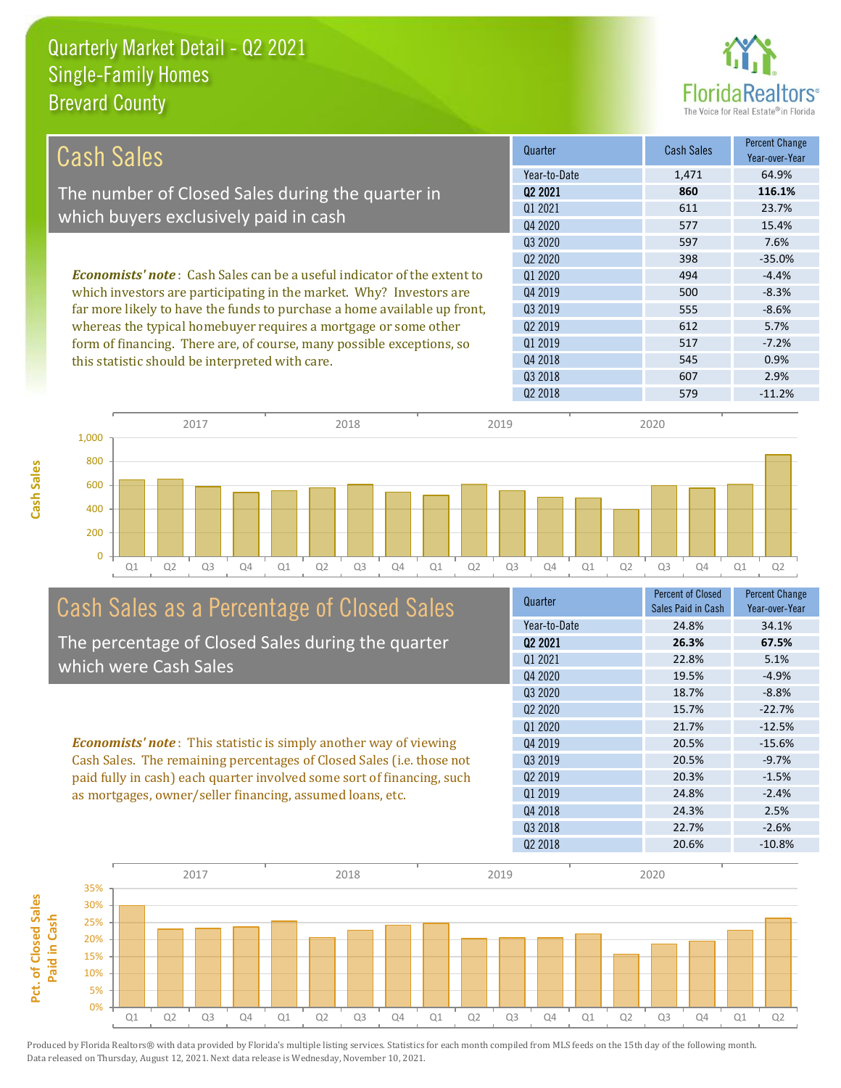**Cash Sales**



| Cash Sales                                                                     | Quarter      | <b>Cash Sales</b> | <b>Percent Change</b><br>Year-over-Year |
|--------------------------------------------------------------------------------|--------------|-------------------|-----------------------------------------|
|                                                                                | Year-to-Date | 1.471             | 64.9%                                   |
| The number of Closed Sales during the quarter in                               | 02 2021      | 860               | 116.1%                                  |
|                                                                                | 01 2021      | 611               | 23.7%                                   |
| which buyers exclusively paid in cash                                          | Q4 2020      | 577               | 15.4%                                   |
|                                                                                | 03 20 20     | 597               | 7.6%                                    |
|                                                                                | 02 2020      | 398               | $-35.0%$                                |
| <b>Economists' note:</b> Cash Sales can be a useful indicator of the extent to | 01 2020      | 494               | $-4.4%$                                 |
| which investors are participating in the market. Why? Investors are            | 04 2019      | 500               | $-8.3%$                                 |
| far more likely to have the funds to purchase a home available up front,       | 03 2019      | 555               | $-8.6%$                                 |
| whereas the typical homebuyer requires a mortgage or some other                | 02 2019      | 612               | 5.7%                                    |
| form of financing. There are, of course, many possible exceptions, so          | 01 2019      | 517               | $-7.2%$                                 |
| this statistic should be interpreted with care.                                | 04 2018      | 545               | 0.9%                                    |
|                                                                                | 03 2018      | 607               | 2.9%                                    |



# Cash Sales as a Percentage of Closed Sales

The percentage of Closed Sales during the quarter which were Cash Sales

*Economists' note* : This statistic is simply another way of viewing Cash Sales. The remaining percentages of Closed Sales (i.e. those not paid fully in cash) each quarter involved some sort of financing, such as mortgages, owner/seller financing, assumed loans, etc.



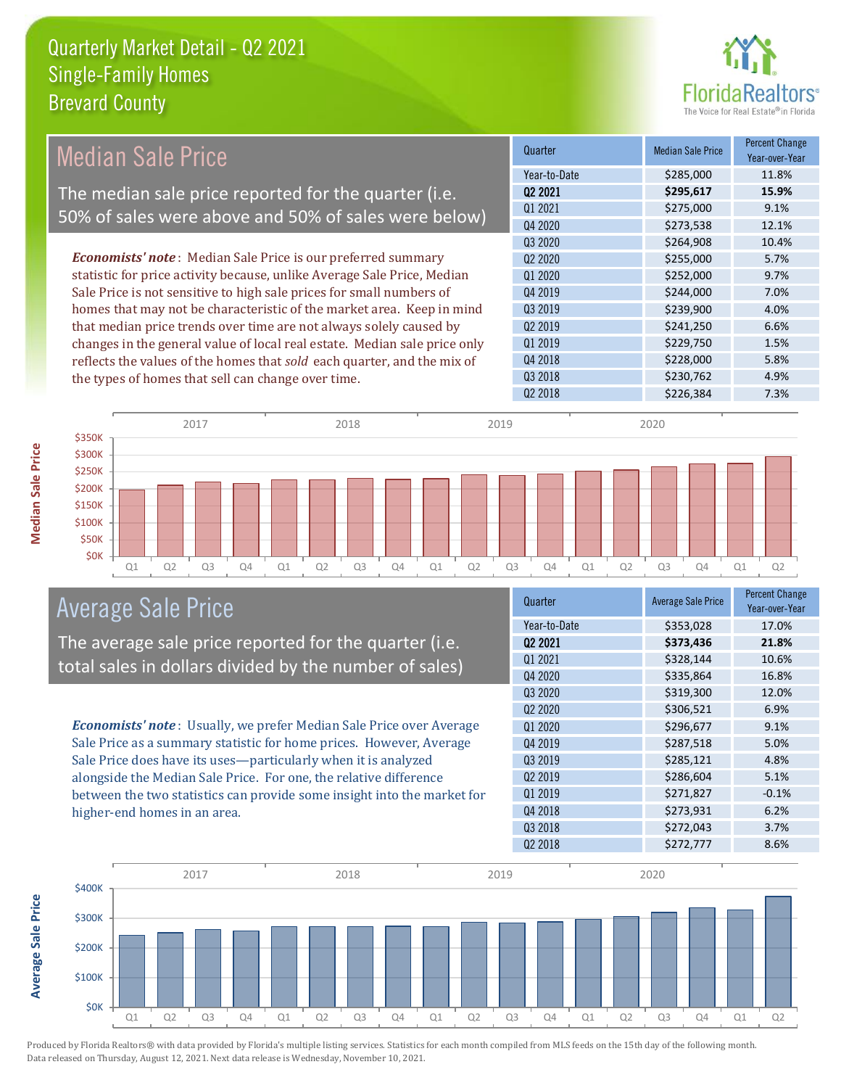

#### Quarter Median Sale Price Percent Change Year-over-Year Q2 2021 **\$295,617 15.9%** Year-to-Date \$285,000 11.8% Q3 2019 \$239,900 \$239,900 4.0% Q1 2021 \$275,000 9.1% Q4 2020 \$273,538 12.1% Q1 2020 \$252,000 9.7% Q4 2019 **\$244,000** \$2044,000 7.0% Q3 2020 \$264,908 10.4% Q2 2020 **\$255,000 5.7%** Q2 2019 \$241,250 6.6% Q1 2019 **\$229,750 1.5%** Q4 2018 **\$228,000** 5.8% Q3 2018 **\$230,762** \$230,762 4.9% Q2 2018 \$226,384 7.3% *Economists' note* : Median Sale Price is our preferred summary statistic for price activity because, unlike Average Sale Price, Median Sale Price is not sensitive to high sale prices for small numbers of homes that may not be characteristic of the market area. Keep in mind that median price trends over time are not always solely caused by changes in the general value of local real estate. Median sale price only reflects the values of the homes that *sold* each quarter, and the mix of the types of homes that sell can change over time. Median Sale Price The median sale price reported for the quarter (i.e. 50% of sales were above and 50% of sales were below)



#### Average Sale Price

The average sale price reported for the quarter (i.e. total sales in dollars divided by the number of sales)

*Economists' note* : Usually, we prefer Median Sale Price over Average Sale Price as a summary statistic for home prices. However, Average Sale Price does have its uses—particularly when it is analyzed alongside the Median Sale Price. For one, the relative difference between the two statistics can provide some insight into the market for higher-end homes in an area.

| Quarter                         | <b>Average Sale Price</b> | <b>Percent Change</b><br>Year-over-Year |
|---------------------------------|---------------------------|-----------------------------------------|
| Year-to-Date                    | \$353,028                 | 17.0%                                   |
| 02 2021                         | \$373,436                 | 21.8%                                   |
| Q1 2021                         | \$328,144                 | 10.6%                                   |
| Q4 2020                         | \$335,864                 | 16.8%                                   |
| Q3 2020                         | \$319,300                 | 12.0%                                   |
| Q <sub>2</sub> 20 <sub>20</sub> | \$306,521                 | 6.9%                                    |
| Q1 2020                         | \$296,677                 | 9.1%                                    |
| Q4 2019                         | \$287,518                 | 5.0%                                    |
| Q3 2019                         | \$285,121                 | 4.8%                                    |
| Q <sub>2</sub> 2019             | \$286,604                 | 5.1%                                    |
| Q1 2019                         | \$271,827                 | $-0.1%$                                 |
| Q4 2018                         | \$273,931                 | 6.2%                                    |
| Q3 2018                         | \$272,043                 | 3.7%                                    |
| 02 2018                         | \$272,777                 | 8.6%                                    |
|                                 |                           |                                         |



**Median Sale Price** 

Average Sale Price **Average Sale Price**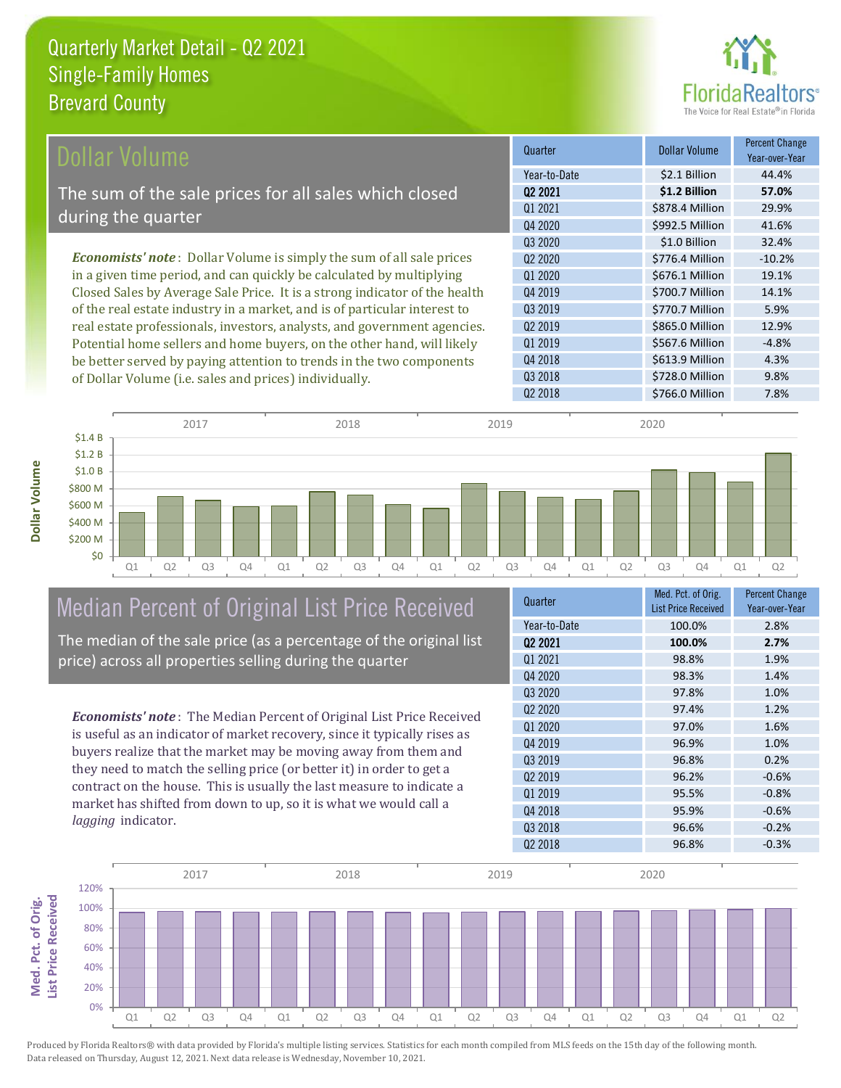

| <b>Dollar Volume</b>                                                         | Quarter             | <b>Dollar Volume</b> | <b>Percent Change</b><br>Year-over-Year |
|------------------------------------------------------------------------------|---------------------|----------------------|-----------------------------------------|
|                                                                              | Year-to-Date        | \$2.1 Billion        | 44.4%                                   |
| The sum of the sale prices for all sales which closed                        | 02 2021             | \$1.2 Billion        | 57.0%                                   |
| during the quarter                                                           | 01 2021             | \$878.4 Million      | 29.9%                                   |
|                                                                              | Q4 2020             | \$992.5 Million      | 41.6%                                   |
|                                                                              | Q3 2020             | \$1.0 Billion        | 32.4%                                   |
| <b>Economists' note</b> : Dollar Volume is simply the sum of all sale prices | 02 2020             | \$776.4 Million      | $-10.2%$                                |
| in a given time period, and can quickly be calculated by multiplying         | Q1 2020             | \$676.1 Million      | 19.1%                                   |
| Closed Sales by Average Sale Price. It is a strong indicator of the health   | Q4 2019             | \$700.7 Million      | 14.1%                                   |
| of the real estate industry in a market, and is of particular interest to    | Q3 2019             | \$770.7 Million      | 5.9%                                    |
| real estate professionals, investors, analysts, and government agencies.     | Q <sub>2</sub> 2019 | \$865.0 Million      | 12.9%                                   |
| Potential home sellers and home buyers, on the other hand, will likely       | Q1 2019             | \$567.6 Million      | $-4.8%$                                 |
| be better served by paying attention to trends in the two components         | Q4 2018             | \$613.9 Million      | 4.3%                                    |



Median Percent of Original List Price Received

of Dollar Volume (i.e. sales and prices) individually.

The median of the sale price (as a percentage of the original list price) across all properties selling during the quarter

*Economists' note* : The Median Percent of Original List Price Received is useful as an indicator of market recovery, since it typically rises as buyers realize that the market may be moving away from them and they need to match the selling price (or better it) in order to get a contract on the house. This is usually the last measure to indicate a market has shifted from down to up, so it is what we would call a *lagging* indicator.

| Quarter                         | Med. Pct. of Orig.<br><b>List Price Received</b> | <b>Percent Change</b><br>Year-over-Year |
|---------------------------------|--------------------------------------------------|-----------------------------------------|
| Year-to-Date                    | 100.0%                                           | 2.8%                                    |
| Q <sub>2</sub> 2021             | 100.0%                                           | 2.7%                                    |
| Q1 2021                         | 98.8%                                            | 1.9%                                    |
| Q4 2020                         | 98.3%                                            | 1.4%                                    |
| Q3 2020                         | 97.8%                                            | 1.0%                                    |
| Q <sub>2</sub> 20 <sub>20</sub> | 97.4%                                            | 1.2%                                    |
| Q1 2020                         | 97.0%                                            | 1.6%                                    |
| Q4 2019                         | 96.9%                                            | 1.0%                                    |
| Q3 2019                         | 96.8%                                            | 0.2%                                    |
| Q <sub>2</sub> 2019             | 96.2%                                            | $-0.6%$                                 |
| Q1 2019                         | 95.5%                                            | $-0.8%$                                 |
| Q4 2018                         | 95.9%                                            | $-0.6%$                                 |
| Q3 2018                         | 96.6%                                            | $-0.2%$                                 |
| Q <sub>2</sub> 2018             | 96.8%                                            | $-0.3%$                                 |

Q2 2018 **\$766.0 Million** 7.8%

Q3 2018 \$728.0 Million 9.8%

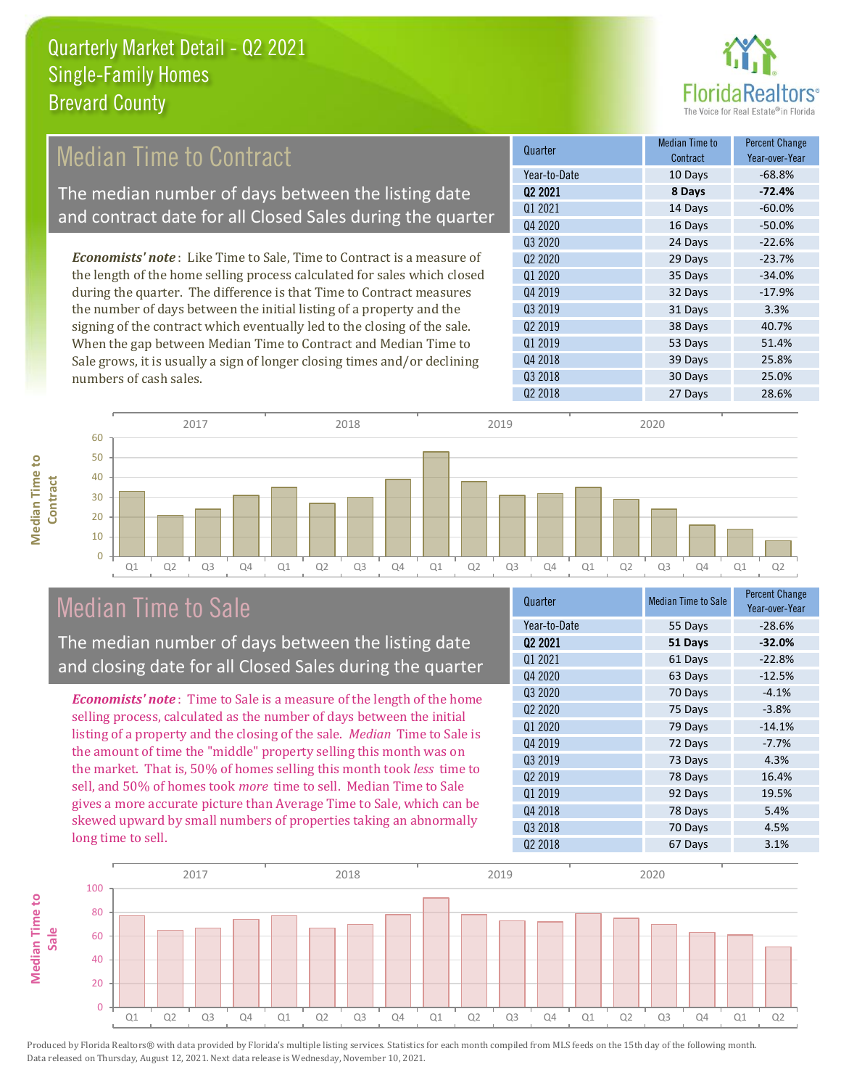

## Median Time to Contract

The median number of days between the listing date and contract date for all Closed Sales during the quarter

*Economists' note* : Like Time to Sale, Time to Contract is a measure of the length of the home selling process calculated for sales which closed during the quarter. The difference is that Time to Contract measures the number of days between the initial listing of a property and the signing of the contract which eventually led to the closing of the sale. When the gap between Median Time to Contract and Median Time to Sale grows, it is usually a sign of longer closing times and/or declining numbers of cash sales.

| Quarter             | Median Time to<br>Contract | <b>Percent Change</b><br>Year-over-Year |
|---------------------|----------------------------|-----------------------------------------|
| Year-to-Date        | 10 Days                    | $-68.8%$                                |
| Q <sub>2</sub> 2021 | 8 Days                     | $-72.4%$                                |
| Q1 2021             | 14 Days                    | $-60.0%$                                |
| Q4 2020             | 16 Days                    | $-50.0%$                                |
| Q3 2020             | 24 Days                    | $-22.6%$                                |
| Q <sub>2</sub> 2020 | 29 Days                    | $-23.7%$                                |
| Q1 2020             | 35 Days                    | $-34.0%$                                |
| Q4 2019             | 32 Days                    | $-17.9%$                                |
| Q3 2019             | 31 Days                    | 3.3%                                    |
| Q <sub>2</sub> 2019 | 38 Days                    | 40.7%                                   |
| Q1 2019             | 53 Days                    | 51.4%                                   |
| Q4 2018             | 39 Days                    | 25.8%                                   |
| Q3 2018             | 30 Days                    | 25.0%                                   |
| Q <sub>2</sub> 2018 | 27 Days                    | 28.6%                                   |



### Median Time to Sale

The median number of days between the listing date and closing date for all Closed Sales during the quarter

*Economists' note* : Time to Sale is a measure of the length of the home selling process, calculated as the number of days between the initial listing of a property and the closing of the sale. *Median* Time to Sale is the amount of time the "middle" property selling this month was on the market. That is, 50% of homes selling this month took *less* time to sell, and 50% of homes took *more* time to sell. Median Time to Sale gives a more accurate picture than Average Time to Sale, which can be skewed upward by small numbers of properties taking an abnormally long time to sell.

| <b>Median Time to Sale</b> | <b>Percent Change</b><br>Year-over-Year |
|----------------------------|-----------------------------------------|
| 55 Days                    | $-28.6%$                                |
| 51 Days                    | $-32.0%$                                |
| 61 Days                    | $-22.8%$                                |
| 63 Days                    | $-12.5%$                                |
| 70 Days                    | $-4.1%$                                 |
| 75 Days                    | $-3.8%$                                 |
| 79 Days                    | $-14.1%$                                |
| 72 Days                    | $-7.7%$                                 |
| 73 Days                    | 4.3%                                    |
| 78 Days                    | 16.4%                                   |
| 92 Days                    | 19.5%                                   |
| 78 Days                    | 5.4%                                    |
| 70 Days                    | 4.5%                                    |
| 67 Days                    | 3.1%                                    |
|                            |                                         |

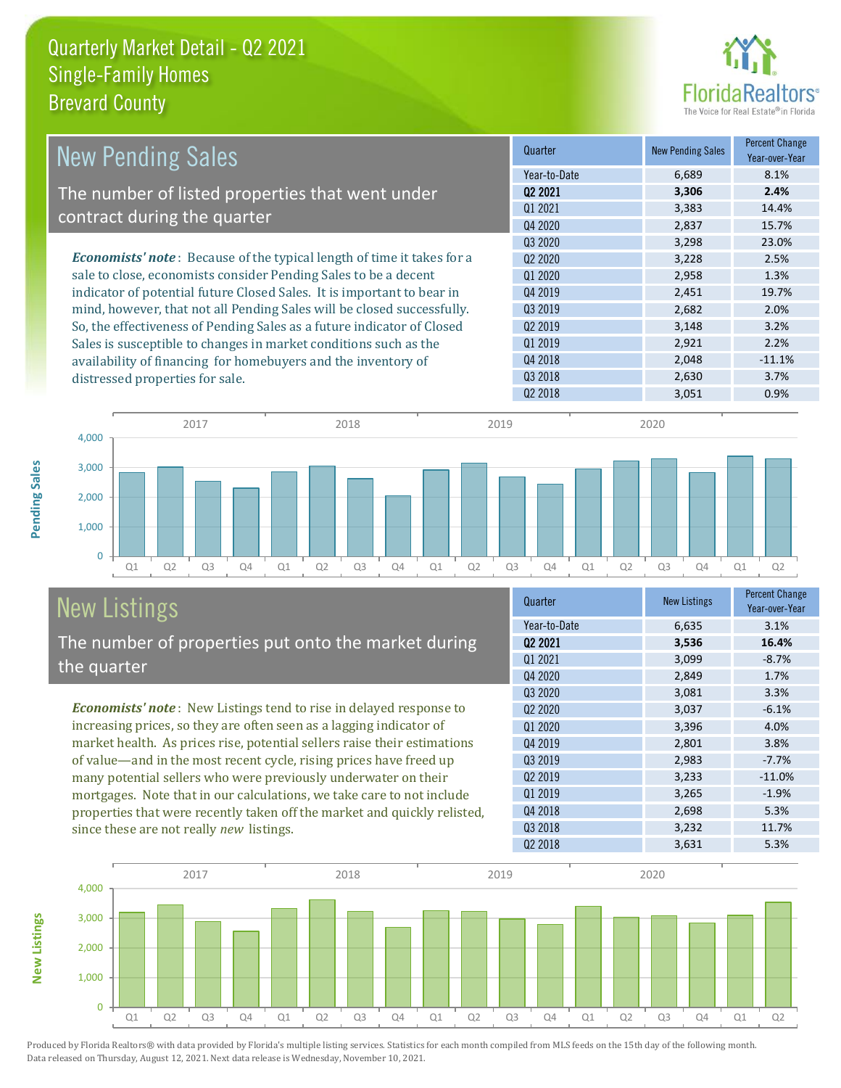

| <b>New Pending Sales</b>                                                      | Quarter             | <b>New Pending Sales</b> | <b>Percent Change</b><br>Year-over-Year |
|-------------------------------------------------------------------------------|---------------------|--------------------------|-----------------------------------------|
|                                                                               | Year-to-Date        | 6,689                    | 8.1%                                    |
| The number of listed properties that went under                               | Q <sub>2</sub> 2021 | 3,306                    | 2.4%                                    |
| contract during the quarter                                                   | 01 2021             | 3,383                    | 14.4%                                   |
|                                                                               | Q4 2020             | 2,837                    | 15.7%                                   |
|                                                                               | Q3 2020             | 3,298                    | 23.0%                                   |
| <b>Economists' note:</b> Because of the typical length of time it takes for a | Q <sub>2</sub> 2020 | 3,228                    | 2.5%                                    |
| sale to close, economists consider Pending Sales to be a decent               | Q1 2020             | 2,958                    | 1.3%                                    |
| indicator of potential future Closed Sales. It is important to bear in        | Q4 2019             | 2,451                    | 19.7%                                   |
| mind, however, that not all Pending Sales will be closed successfully.        | 03 2019             | 2,682                    | 2.0%                                    |
| So, the effectiveness of Pending Sales as a future indicator of Closed        | Q <sub>2</sub> 2019 | 3,148                    | 3.2%                                    |
| Sales is susceptible to changes in market conditions such as the              | Q1 2019             | 2,921                    | 2.2%                                    |
| availability of financing for homebuyers and the inventory of                 | Q4 2018             | 2,048                    | $-11.1%$                                |
| distressed properties for sale.                                               | Q3 2018             | 2,630                    | 3.7%                                    |
|                                                                               | Q <sub>2</sub> 2018 | 3,051                    | 0.9%                                    |



# New Listings

The number of properties put onto the market during the quarter

*Economists' note* : New Listings tend to rise in delayed response to increasing prices, so they are often seen as a lagging indicator of market health. As prices rise, potential sellers raise their estimations of value—and in the most recent cycle, rising prices have freed up many potential sellers who were previously underwater on their mortgages. Note that in our calculations, we take care to not include properties that were recently taken off the market and quickly relisted, since these are not really *new* listings.

| Quarter                         | <b>New Listings</b> | <b>Percent Change</b><br>Year-over-Year |
|---------------------------------|---------------------|-----------------------------------------|
| Year-to-Date                    | 6,635               | 3.1%                                    |
| 02 2021                         | 3,536               | 16.4%                                   |
| Q1 2021                         | 3,099               | $-8.7%$                                 |
| Q4 2020                         | 2,849               | 1.7%                                    |
| Q3 2020                         | 3,081               | 3.3%                                    |
| Q <sub>2</sub> 20 <sub>20</sub> | 3,037               | $-6.1%$                                 |
| Q1 2020                         | 3,396               | 4.0%                                    |
| Q4 2019                         | 2,801               | 3.8%                                    |
| Q3 2019                         | 2,983               | $-7.7%$                                 |
| Q <sub>2</sub> 2019             | 3,233               | $-11.0%$                                |
| Q1 2019                         | 3,265               | $-1.9%$                                 |
| Q4 2018                         | 2,698               | 5.3%                                    |
| Q3 2018                         | 3,232               | 11.7%                                   |
| Q <sub>2</sub> 2018             | 3,631               | 5.3%                                    |



Produced by Florida Realtors® with data provided by Florida's multiple listing services. Statistics for each month compiled from MLS feeds on the 15th day of the following month. Data released on Thursday, August 12, 2021. Next data release is Wednesday, November 10, 2021.

**New Listings**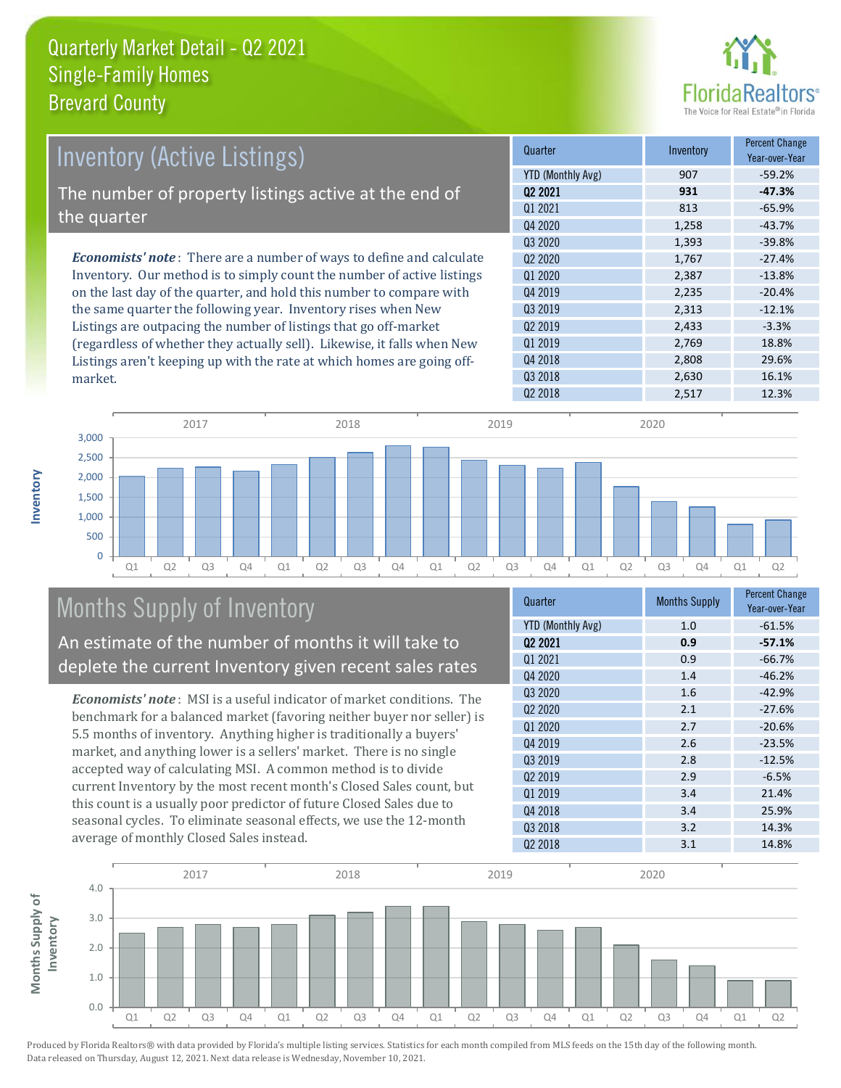

| Inventory (Active Listings)                                                  | Quarter             | Inventory | <b>Percent Change</b><br>Year-over-Year |
|------------------------------------------------------------------------------|---------------------|-----------|-----------------------------------------|
|                                                                              | YTD (Monthly Avg)   | 907       | $-59.2%$                                |
| The number of property listings active at the end of                         | 02 2021             | 931       | $-47.3%$                                |
|                                                                              | 01 2021             | 813       | $-65.9%$                                |
| the quarter                                                                  | Q4 2020             | 1,258     | $-43.7%$                                |
|                                                                              | 03 2020             | 1,393     | $-39.8%$                                |
| <b>Economists' note</b> : There are a number of ways to define and calculate | 02 2020             | 1,767     | $-27.4%$                                |
| Inventory. Our method is to simply count the number of active listings       | 01 2020             | 2,387     | $-13.8%$                                |
| on the last day of the quarter, and hold this number to compare with         | 04 2019             | 2,235     | $-20.4%$                                |
| the same quarter the following year. Inventory rises when New                | Q3 2019             | 2,313     | $-12.1%$                                |
| Listings are outpacing the number of listings that go off-market             | Q <sub>2</sub> 2019 | 2,433     | $-3.3%$                                 |
| (regardless of whether they actually sell). Likewise, it falls when New      | 01 2019             | 2.769     | 18.8%                                   |
| Listings aren't keening un with the rate at which homes are going off-       | 04 2018             | 2,808     | 29.6%                                   |



## Months Supply of Inventory

An estimate of the number of months it will take to deplete the current Inventory given recent sales rates

Listings aren't keeping up with the rate at which homes are going off-

*Economists' note* : MSI is a useful indicator of market conditions. The benchmark for a balanced market (favoring neither buyer nor seller) is 5.5 months of inventory. Anything higher is traditionally a buyers' market, and anything lower is a sellers' market. There is no single accepted way of calculating MSI. A common method is to divide current Inventory by the most recent month's Closed Sales count, but this count is a usually poor predictor of future Closed Sales due to seasonal cycles. To eliminate seasonal effects, we use the 12-month average of monthly Closed Sales instead.

| <b>Months Supply</b> | <b>Percent Change</b><br>Year-over-Year |
|----------------------|-----------------------------------------|
| 1.0                  | $-61.5%$                                |
| 0.9                  | $-57.1%$                                |
| 0.9                  | $-66.7%$                                |
| 1.4                  | $-46.2%$                                |
| 1.6                  | $-42.9%$                                |
| 2.1                  | $-27.6%$                                |
| 2.7                  | $-20.6%$                                |
| 2.6                  | $-23.5%$                                |
| 2.8                  | $-12.5%$                                |
| 2.9                  | $-6.5%$                                 |
| 3.4                  | 21.4%                                   |
| 3.4                  | 25.9%                                   |
| 3.2                  | 14.3%                                   |
| 3.1                  | 14.8%                                   |
|                      |                                         |

Q3 2018 2,630 16.1%



Produced by Florida Realtors® with data provided by Florida's multiple listing services. Statistics for each month compiled from MLS feeds on the 15th day of the following month. Data released on Thursday, August 12, 2021. Next data release is Wednesday, November 10, 2021.

market.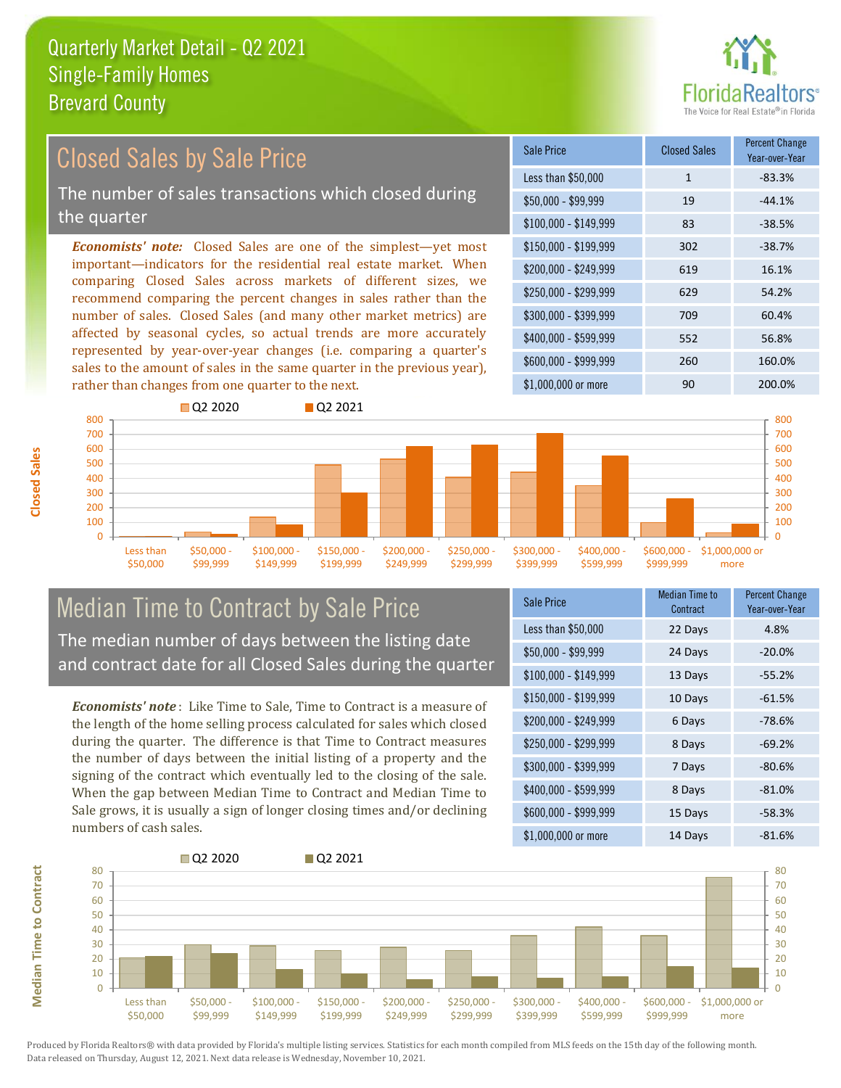

#### *Economists' note:* Closed Sales are one of the simplest—yet most important—indicators for the residential real estate market. When comparing Closed Sales across markets of different sizes, we recommend comparing the percent changes in sales rather than the number of sales. Closed Sales (and many other market metrics) are affected by seasonal cycles, so actual trends are more accurately represented by year-over-year changes (i.e. comparing a quarter's sales to the amount of sales in the same quarter in the previous year), rather than changes from one quarter to the next. \$1,000,000 or more 90 90 200,0% \$250,000 - \$299,999 629 54.2% \$300,000 - \$399,999 709 60.4% \$400,000 - \$599,999 552 56.8% \$600,000 - \$999,999 260 160.0% \$150,000 - \$199,999 302 -38.7% \$200,000 - \$249,999 619 16.1%  $$100,000 - $149,999$  83 -38.5% Sale Price Closed Sales Percent Change Year-over-Year Less than \$50,000 1 1 -83.3%  $$50,000 - $99,999$  19  $-44.1\%$ 600 700 800 Q2 2020 Q2 2021 600 700 800 Closed Sales by Sale Price The number of sales transactions which closed during the quarter

#### $\Omega$ 100 200 300 Less than \$50,000 \$50,000 - \$99,999 \$100,000 - \$149,999 \$150,000 - \$199,999 \$200,000 - \$249,999 \$250,000 - \$299,999 \$300,000 - \$399,999 \$400,000 - \$599,999 **Closed Sales** Median Time to Contract by Sale Price

The median number of days between the listing date and contract date for all Closed Sales during the quarter

*Economists' note* : Like Time to Sale, Time to Contract is a measure of the length of the home selling process calculated for sales which closed during the quarter. The difference is that Time to Contract measures the number of days between the initial listing of a property and the signing of the contract which eventually led to the closing of the sale. When the gap between Median Time to Contract and Median Time to Sale grows, it is usually a sign of longer closing times and/or declining numbers of cash sales.

| Sale Price            | Median Time to<br>Contract | <b>Percent Change</b><br>Year-over-Year |
|-----------------------|----------------------------|-----------------------------------------|
| Less than \$50,000    | 22 Days                    | 4.8%                                    |
| \$50,000 - \$99,999   | 24 Days                    | $-20.0%$                                |
| $$100,000 - $149,999$ | 13 Days                    | $-55.2%$                                |
| $$150,000 - $199,999$ | 10 Days                    | $-61.5%$                                |
| \$200,000 - \$249,999 | 6 Days                     | $-78.6%$                                |
| \$250,000 - \$299,999 | 8 Days                     | $-69.2%$                                |
| \$300,000 - \$399,999 | 7 Days                     | $-80.6%$                                |
| \$400,000 - \$599,999 | 8 Days                     | $-81.0%$                                |
| \$600,000 - \$999,999 | 15 Days                    | $-58.3%$                                |
| \$1,000,000 or more   | 14 Days                    | $-81.6%$                                |

\$600,000 - \$999,999

\$1,000,000 or more



400 500

**Median Time to Contract Median Time to Contract**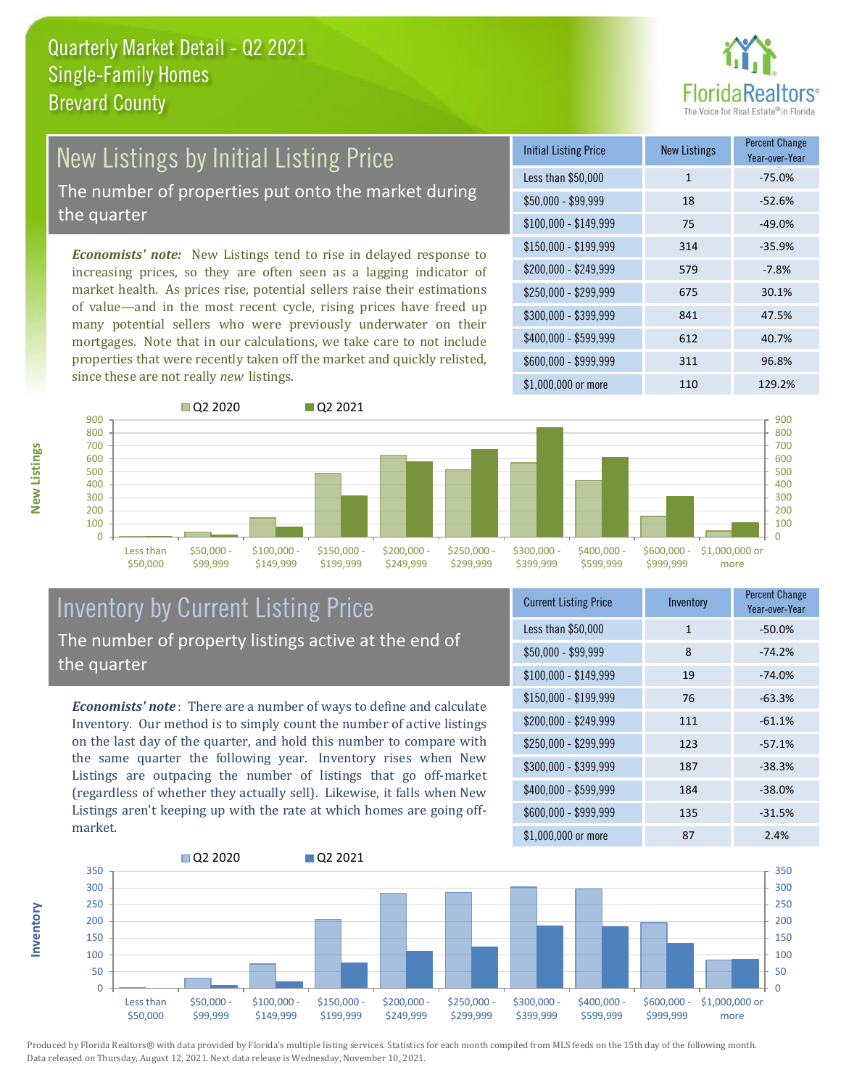

## New Listings by Initial Listing Price

The number of properties put onto the market during the quarter

*Economists' note:* New Listings tend to rise in delayed response to increasing prices, so they are often seen as a lagging indicator of market health. As prices rise, potential sellers raise their estimations of value—and in the most recent cycle, rising prices have freed up many potential sellers who were previously underwater on their mortgages. Note that in our calculations, we take care to not include properties that were recently taken off the market and quickly relisted, since these are not really *new* listings.





### Inventory by Current Listing Price The number of property listings active at the end of the quarter

*Economists' note* : There are a number of ways to define and calculate Inventory. Our method is to simply count the number of active listings on the last day of the quarter, and hold this number to compare with the same quarter the following year. Inventory rises when New Listings are outpacing the number of listings that go off-market (regardless of whether they actually sell). Likewise, it falls when New Listings aren't keeping up with the rate at which homes are going offmarket.

| <b>Current Listing Price</b> | Inventory    | <b>Percent Change</b><br>Year-over-Year |
|------------------------------|--------------|-----------------------------------------|
| Less than \$50,000           | $\mathbf{1}$ | $-50.0%$                                |
| $$50,000 - $99,999$          | 8            | $-74.2%$                                |
| $$100,000 - $149,999$        | 19           | $-74.0%$                                |
| $$150,000 - $199,999$        | 76           | $-63.3%$                                |
| \$200,000 - \$249,999        | 111          | $-61.1%$                                |
| \$250,000 - \$299,999        | 123          | $-57.1%$                                |
| \$300,000 - \$399,999        | 187          | $-38.3%$                                |
| \$400,000 - \$599,999        | 184          | $-38.0%$                                |
| \$600,000 - \$999,999        | 135          | $-31.5%$                                |
| \$1,000,000 or more          | 87           | 2.4%                                    |



Produced by Florida Realtors® with data provided by Florida's multiple listing services. Statistics for each month compiled from MLS feeds on the 15th day of the following month. Data released on Thursday, August 12, 2021. Next data release is Wednesday, November 10, 2021.

**Inventory**